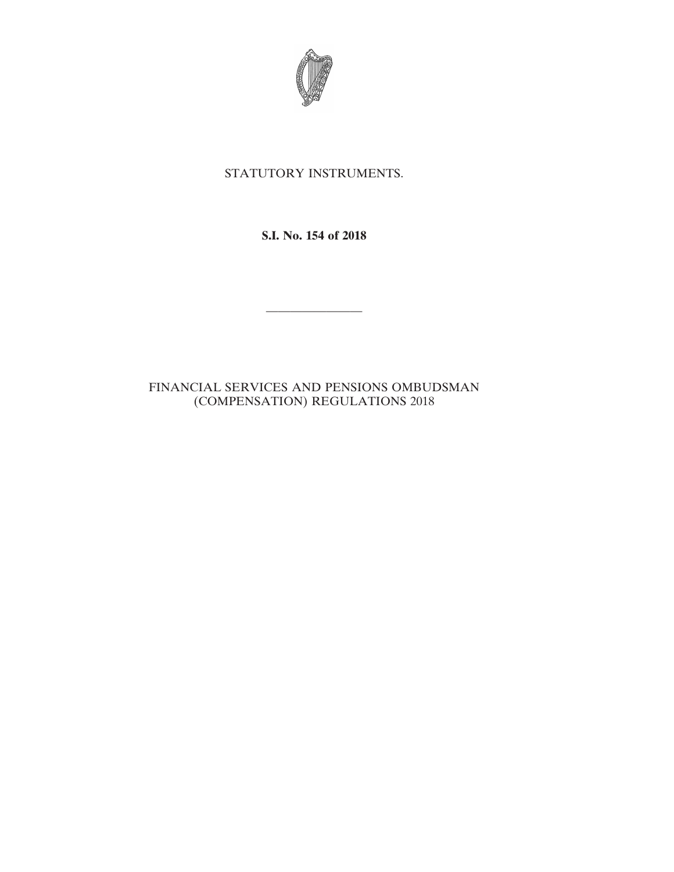

## STATUTORY INSTRUMENTS.

**S.I. No. 154 of 2018**

————————

## FINANCIAL SERVICES AND PENSIONS OMBUDSMAN (COMPENSATION) REGULATIONS 2018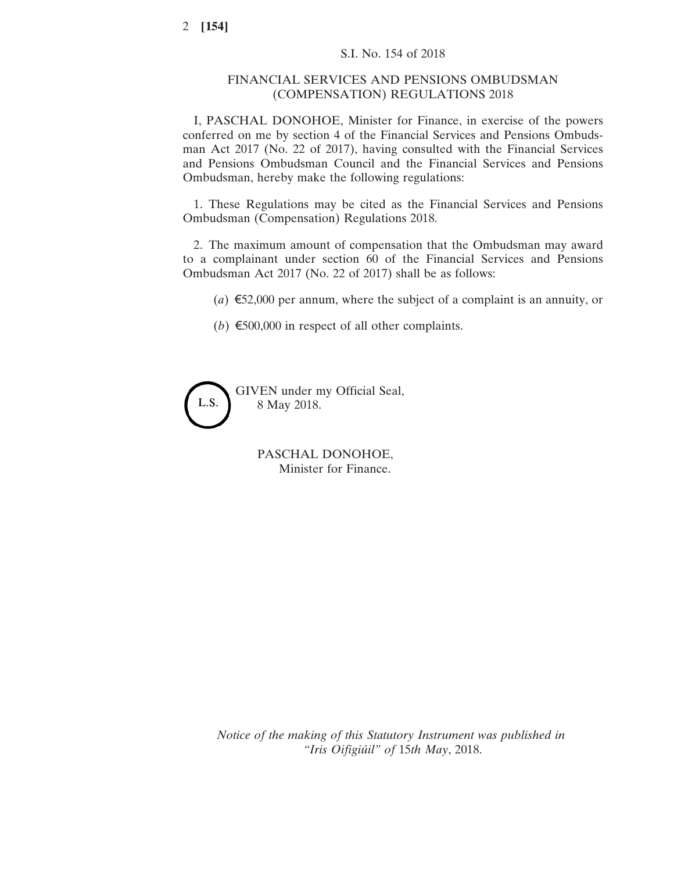## FINANCIAL SERVICES AND PENSIONS OMBUDSMAN (COMPENSATION) REGULATIONS 2018

I, PASCHAL DONOHOE, Minister for Finance, in exercise of the powers conferred on me by section 4 of the Financial Services and Pensions Ombudsman Act 2017 (No. 22 of 2017), having consulted with the Financial Services and Pensions Ombudsman Council and the Financial Services and Pensions Ombudsman, hereby make the following regulations:

1. These Regulations may be cited as the Financial Services and Pensions Ombudsman (Compensation) Regulations 2018.

2. The maximum amount of compensation that the Ombudsman may award to a complainant under section 60 of the Financial Services and Pensions Ombudsman Act 2017 (No. 22 of 2017) shall be as follows:

(*a*) €52,000 per annum, where the subject of a complaint is an annuity, or

(*b*)  $\epsilon$ 500,000 in respect of all other complaints.



PASCHAL DONOHOE, Minister for Finance.

*Notice of the making of this Statutory Instrument was published in "Iris Oifigiúil" of* 15*th May*, 2018.